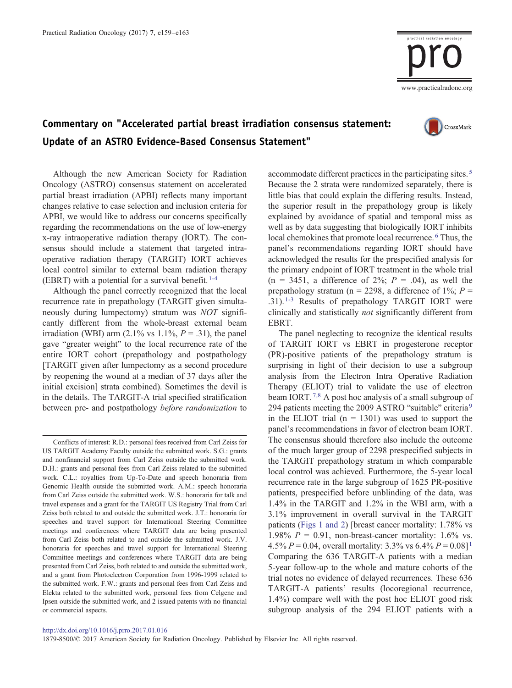

## Commentary on "Accelerated partial breast irradiation consensus statement: Update of an ASTRO Evidence-Based Consensus Statement"



Although the new American Society for Radiation Oncology (ASTRO) consensus statement on accelerated partial breast irradiation (APBI) reflects many important changes relative to case selection and inclusion criteria for APBI, we would like to address our concerns specifically regarding the recommendations on the use of low-energy x-ray intraoperative radiation therapy (IORT). The consensus should include a statement that targeted intraoperative radiation therapy (TARGIT) IORT achieves local control similar to external beam radiation therapy (EBRT) with a potential for a survival benefit[.](#page-4-0)  $1-4$ 

Although the panel correctly recognized that the local recurrence rate in prepathology (TARGIT given simultaneously during lumpectomy) stratum was NOT significantly different from the whole-breast external beam irradiation (WBI) arm (2.1% vs 1.1%,  $P = .31$ ), the panel gave "greater weight" to the local recurrence rate of the entire IORT cohort (prepathology and postpathology [TARGIT given after lumpectomy as a second procedure by reopening the wound at a median of 37 days after the initial excision] strata combined). Sometimes the devil is in the details. The TARGIT-A trial specified stratification between pre- and postpathology before randomization to

accommodate different practices in the participating sites[.](#page-4-0)<sup>[5](#page-4-0)</sup> Because the 2 strata were randomized separately, there is little bias that could explain the differing results. Instead, the superior result in the prepathology group is likely explained by avoidance of spatial and temporal miss as well as by data suggesting that biologically IORT inhibits local chemokines that promote local recurrence[.](#page-4-0) [6](#page-4-0) Thus, the panel's recommendations regarding IORT should have acknowledged the results for the prespecified analysis for the primary endpoint of IORT treatment in the whole trial  $(n = 3451, a difference of 2\%; P = .04)$ , as well the prepathology stratum (n = 2298, a difference of 1%;  $P =$ [.](#page-4-0)31).<sup>[1-3](#page-4-0)</sup> Results of prepathology TARGIT IORT were clinically and statistically not significantly different from EBRT.

The panel neglecting to recognize the identical results of TARGIT IORT vs EBRT in progesterone receptor (PR)-positive patients of the prepathology stratum is surprising in light of their decision to use a subgroup analysis from the Electron Intra Operative Radiation Therapy (ELIOT) trial to validate the use of electron beam IORT[.](#page-4-0)<sup>[7,8](#page-4-0)</sup> A post hoc analysis of a small subgroup of 294 p[a](#page-4-0)tients meeting the 200[9](#page-4-0) ASTRO "suitable" criteria<sup>9</sup> in the ELIOT trial  $(n = 1301)$  was used to support the panel's recommendations in favor of electron beam IORT. The consensus should therefore also include the outcome of the much larger group of 2298 prespecified subjects in the TARGIT prepathology stratum in which comparable local control was achieved. Furthermore, the 5-year local recurrence rate in the large subgroup of 1625 PR-positive patients, prespecified before unblinding of the data, was 1.4% in the TARGIT and 1.2% in the WBI arm, with a 3.1% improvement in overall survival in the TARGIT patients ([Figs 1 and 2\)](#page-1-0) [breast cancer mortality: 1.78% vs 1.98%  $P = 0.91$ , non-breast-cancer mortality: 1.6% vs. 4.5%  $P = 0.04$ , overall mortality: 3.3% vs 6.4%  $P = 0.08$ [\]](#page-4-0)<sup>[1](#page-4-0)</sup> Comparing the 636 TARGIT-A patients with a median 5-year follow-up to the whole and mature cohorts of the trial notes no evidence of delayed recurrences. These 636 TARGIT-A patients' results (locoregional recurrence, 1.4%) compare well with the post hoc ELIOT good risk subgroup analysis of the 294 ELIOT patients with a

Conflicts of interest: R.D.: personal fees received from Carl Zeiss for US TARGIT Academy Faculty outside the submitted work. S.G.: grants and nonfinancial support from Carl Zeiss outside the submitted work. D.H.: grants and personal fees from Carl Zeiss related to the submitted work. C.L.: royalties from Up-To-Date and speech honoraria from Genomic Health outside the submitted work. A.M.: speech honoraria from Carl Zeiss outside the submitted work. W.S.: honoraria for talk and travel expenses and a grant for the TARGIT US Registry Trial from Carl Zeiss both related to and outside the submitted work. J.T.: honoraria for speeches and travel support for International Steering Committee meetings and conferences where TARGIT data are being presented from Carl Zeiss both related to and outside the submitted work. J.V. honoraria for speeches and travel support for International Steering Committee meetings and conferences where TARGIT data are being presented from Carl Zeiss, both related to and outside the submitted work, and a grant from Photoelectron Corporation from 1996-1999 related to the submitted work. F.W.: grants and personal fees from Carl Zeiss and Elekta related to the submitted work, personal fees from Celgene and Ipsen outside the submitted work, and 2 issued patents with no financial or commercial aspects.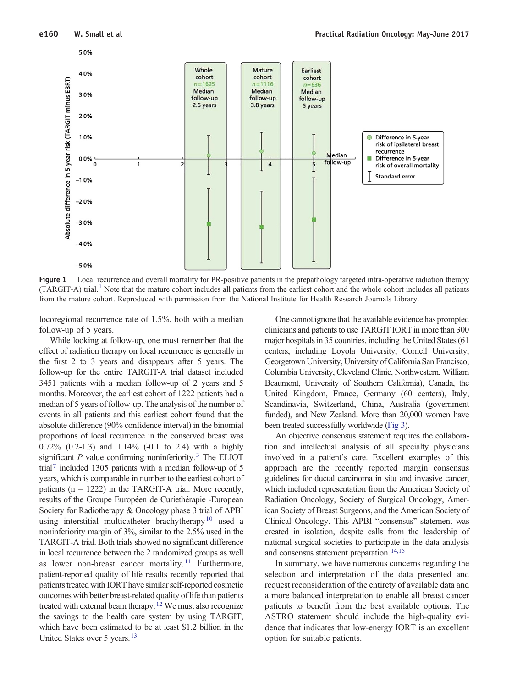<span id="page-1-0"></span>

Figure 1 Local recurrence and overall mortality for PR-positive patients in the prepathology targeted intra-operative radiation therapy  $(TARGIT-A)$  trial[.](#page-4-0)<sup>[1](#page-4-0)</sup> Note that the mature cohort includes all patients from the earliest cohort and the whole cohort includes all patients from the mature cohort. Reproduced with permission from the National Institute for Health Research Journals Library.

locoregional recurrence rate of 1.5%, both with a median follow-up of 5 years.

While looking at follow-up, one must remember that the effect of radiation therapy on local recurrence is generally in the first 2 to 3 years and disappears after 5 years. The follow-up for the entire TARGIT-A trial dataset included 3451 patients with a median follow-up of 2 years and 5 months. Moreover, the earliest cohort of 1222 patients had a median of 5 years of follow-up. The analysis of the number of events in all patients and this earliest cohort found that the absolute difference (90% confidence interval) in the binomial proportions of local recurrence in the conserved breast was 0.72% (0.2-1.3) and 1.14% (-0.1 to 2.4) with a highly significant  $P$  value confirming noninferiority[.](#page-4-0)<sup>[3](#page-4-0)</sup> The ELIOT tria[l](#page-4-0)<sup>[7](#page-4-0)</sup> included 1305 patients with a median follow-up of 5 years, which is comparable in number to the earliest cohort of patients ( $n = 1222$ ) in the TARGIT-A trial. More recently, results of the Groupe Européen de Curiethérapie -European Society for Radiotherapy & Oncology phase 3 trial of APBI using interstitial multicatheter brach[y](#page-4-0)therapy<sup>[10](#page-4-0)</sup> used a noninferiority margin of 3%, similar to the 2.5% used in the TARGIT-A trial. Both trials showed no significant difference in local recurrence between the 2 randomized groups as well as lower non-breast cancer mortality[.](#page-4-0)<sup>[11](#page-4-0)</sup> Furthermore, patient-reported quality of life results recently reported that patients treated with IORT have similar self-reported cosmetic outcomes with better breast-related quality of life than patients treated with external beam therapy[.](#page-4-0)<sup>[12](#page-4-0)</sup> We must also recognize the savings to the health care system by using TARGIT, which have been estimated to be at least \$1.2 billion in the United States over 5 years.<sup>[13](#page-4-0)</sup>

One cannot ignore that the available evidence has prompted clinicians and patients to use TARGIT IORT in more than 300 major hospitals in 35 countries, including the United States (61 centers, including Loyola University, Cornell University, Georgetown University, University of California San Francisco, Columbia University, Cleveland Clinic, Northwestern, William Beaumont, University of Southern California), Canada, the United Kingdom, France, Germany (60 centers), Italy, Scandinavia, Switzerland, China, Australia (government funded), and New Zealand. More than 20,000 women have been treated successfully worldwide [\(Fig 3\)](#page-3-0).

An objective consensus statement requires the collaboration and intellectual analysis of all specialty physicians involved in a patient's care. Excellent examples of this approach are the recently reported margin consensus guidelines for ductal carcinoma in situ and invasive cancer, which included representation from the American Society of Radiation Oncology, Society of Surgical Oncology, American Society of Breast Surgeons, and the American Society of Clinical Oncology. This APBI "consensus" statement was created in isolation, despite calls from the leadership of national surgical societies to participate in the data analysis and consensus statement preparation[.](#page-4-0)<sup>[14,15](#page-4-0)</sup>

In summary, we have numerous concerns regarding the selection and interpretation of the data presented and request reconsideration of the entirety of available data and a more balanced interpretation to enable all breast cancer patients to benefit from the best available options. The ASTRO statement should include the high-quality evidence that indicates that low-energy IORT is an excellent option for suitable patients.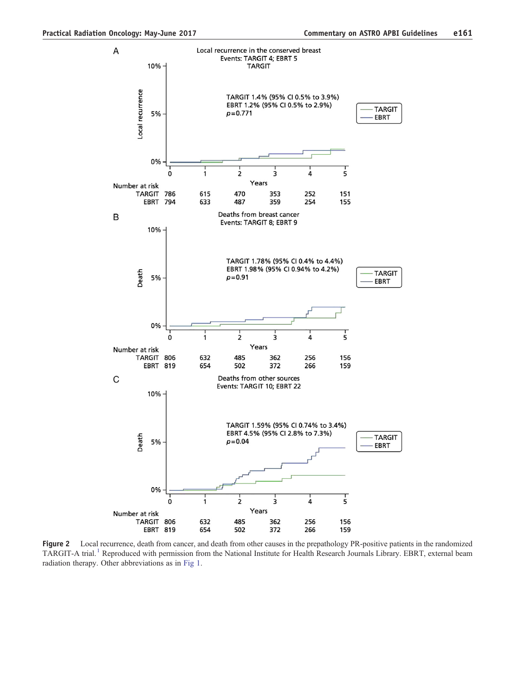

Figure 2 Local recurrence, death from cancer, and death from other causes in the prepathology PR-positive patients in the randomized TARGIT-A trial[.](#page-4-0)<sup>[1](#page-4-0)</sup> Reproduced with permission from the National Institute for Health Research Journals Library. EBRT, external beam radiation therapy. Other abbreviations as in [Fig 1.](#page-1-0)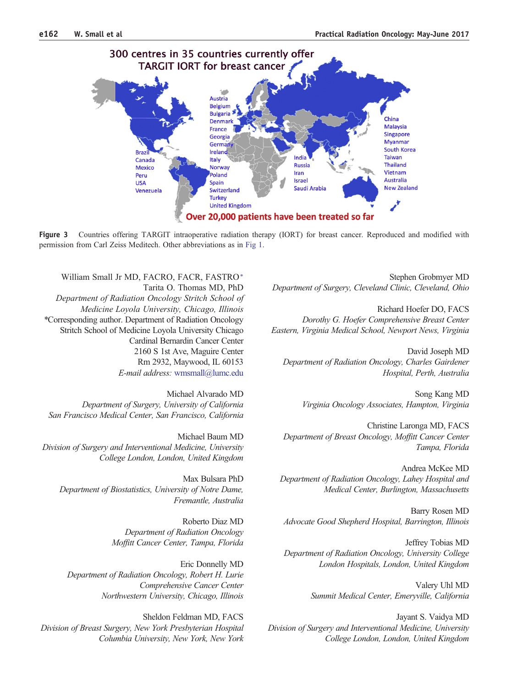<span id="page-3-0"></span>

Figure 3 Countries offering TARGIT intraoperative radiation therapy (IORT) for breast cancer. Reproduced and modified with permission from Carl Zeiss Meditech. Other abbreviations as in [Fig 1](#page-1-0).

William Small Jr MD, FACRO, FACR, FASTRO<sup>\*</sup> Tarita O. Thomas MD, PhD Department of Radiation Oncology Stritch School of Medicine Loyola University, Chicago, Illinois ⁎Corresponding author. Department of Radiation Oncology Stritch School of Medicine Loyola University Chicago Cardinal Bernardin Cancer Center 2160 S 1st Ave, Maguire Center Rm 2932, Maywood, IL 60153 E-mail address: [wmsmall@lumc.edu](mailto:wmsmall@lumc.edu)

Michael Alvarado MD Department of Surgery, University of California San Francisco Medical Center, San Francisco, California

Michael Baum MD Division of Surgery and Interventional Medicine, University College London, London, United Kingdom

Max Bulsara PhD Department of Biostatistics, University of Notre Dame, Fremantle, Australia

> Roberto Diaz MD Department of Radiation Oncology Moffitt Cancer Center, Tampa, Florida

Eric Donnelly MD Department of Radiation Oncology, Robert H. Lurie Comprehensive Cancer Center Northwestern University, Chicago, Illinois

Sheldon Feldman MD, FACS Division of Breast Surgery, New York Presbyterian Hospital Columbia University, New York, New York

Stephen Grobmyer MD Department of Surgery, Cleveland Clinic, Cleveland, Ohio

Richard Hoefer DO, FACS Dorothy G. Hoefer Comprehensive Breast Center Eastern, Virginia Medical School, Newport News, Virginia

David Joseph MD Department of Radiation Oncology, Charles Gairdener Hospital, Perth, Australia

> Song Kang MD Virginia Oncology Associates, Hampton, Virginia

Christine Laronga MD, FACS Department of Breast Oncology, Moffitt Cancer Center Tampa, Florida

Andrea McKee MD Department of Radiation Oncology, Lahey Hospital and Medical Center, Burlington, Massachusetts

Barry Rosen MD Advocate Good Shepherd Hospital, Barrington, Illinois

Jeffrey Tobias MD Department of Radiation Oncology, University College London Hospitals, London, United Kingdom

> Valery Uhl MD Summit Medical Center, Emeryville, California

Jayant S. Vaidya MD Division of Surgery and Interventional Medicine, University College London, London, United Kingdom